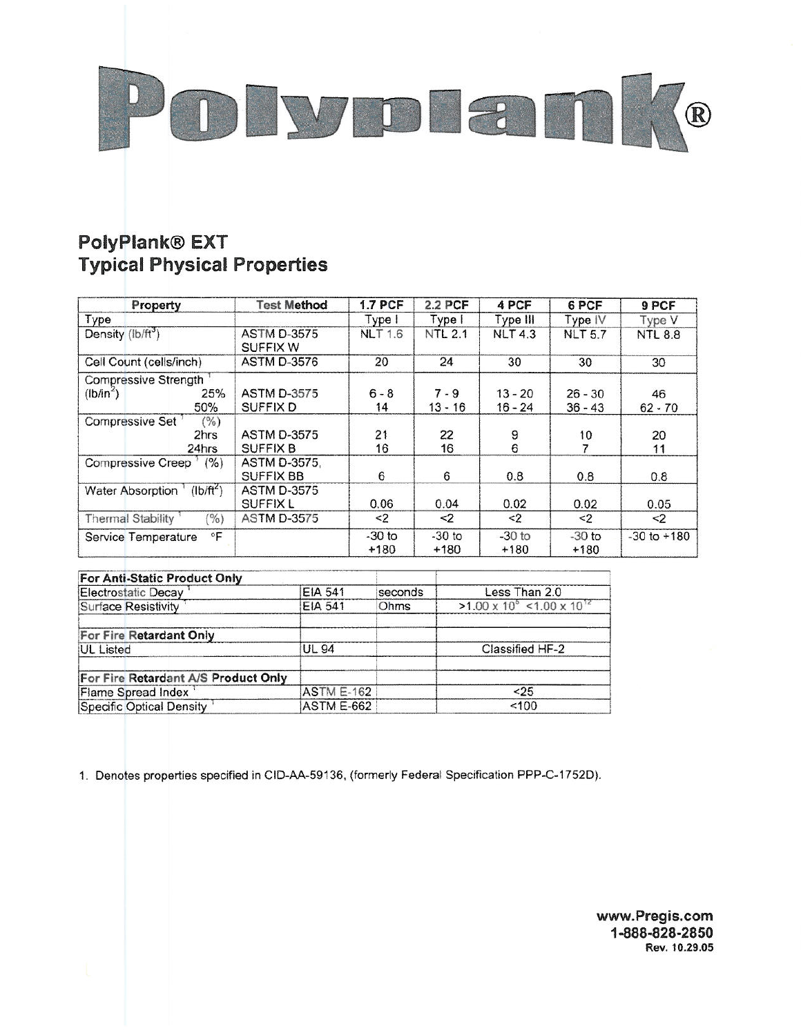

## PolyPlank® EXT **Typical Physical Properties**

| Property                                                           | <b>Test Method</b>                      | <b>1.7 PCF</b>     | <b>2.2 PCF</b>       | 4 PCF                  | 6 PCF                  | 9 PCF           |
|--------------------------------------------------------------------|-----------------------------------------|--------------------|----------------------|------------------------|------------------------|-----------------|
| Type                                                               |                                         | Type I             | Type I               | Type III               | Type IV                | Type V          |
| Density (lb/ft <sup>3</sup> )                                      | <b>ASTM D-3575</b><br><b>SUFFIXW</b>    | <b>NLT 1.6</b>     | <b>NTL 2.1</b>       | <b>NLT 4.3</b>         | <b>NLT 5.7</b>         | <b>NTL 8.8</b>  |
| Cell Count (cells/inch)                                            | <b>ASTM D-3576</b>                      | 20                 | 24                   | 30                     | 30                     | 30              |
| <b>Compressive Strength</b><br>(lb/in <sup>2</sup> )<br>25%<br>50% | <b>ASTM D-3575</b><br>SUFFIX D          | $6 - 8$<br>14      | $7 - 9$<br>$13 - 16$ | $13 - 20$<br>$16 - 24$ | $26 - 30$<br>$36 - 43$ | 46<br>$62 - 70$ |
| Compressive Set<br>(%)<br>2hrs<br>24hrs                            | <b>ASTM D-3575</b><br>SUFFIX B          | 21<br>16           | 22<br>16             | 9<br>6                 | 10                     | 20<br>11        |
| Compressive Creep<br>(%)                                           | <b>ASTM D-3575,</b><br><b>SUFFIX BB</b> | 6                  | 6                    | 0.8                    | 0.8                    | 0.8             |
| $(lb/ft^2)$<br><b>Water Absorption</b>                             | <b>ASTM D-3575</b><br><b>SUFFIX L</b>   | 0.06               | 0.04                 | 0.02                   | 0.02                   | 0.05            |
| <b>Thermal Stability</b><br>(%)                                    | <b>ASTM D-3575</b>                      | $\leq$             | $2$                  | $\leq$                 | $\langle 2 \rangle$    | $<$ 2           |
| $\circ \mathsf{F}$<br>Service Temperature                          |                                         | $-30$ to<br>$+180$ | $-30$ to<br>$+180$   | $-30$ to<br>$+180$     | $-30$ to<br>$+180$     | $-30$ to $+180$ |

| For Anti-Static Product Only        |                |         |                                                |  |
|-------------------------------------|----------------|---------|------------------------------------------------|--|
| Electrostatic Decay                 | <b>EIA 541</b> | seconds | Less Than 2.0                                  |  |
| Surface Resistivity                 | <b>EIA 541</b> | Ohms    | $>1.00 \times 10^{5}$ < 1.00 x 10 <sup>1</sup> |  |
| For Fire Retardant Only             |                |         |                                                |  |
| <b>UL Listed</b>                    | <b>UL 94</b>   |         | Classified HF-2                                |  |
| For Fire Retardant A/S Product Only |                |         |                                                |  |
| Flame Spread Index                  | ASTM E-162     |         | < 25                                           |  |
| Specific Optical Density            | ASTM E-662     |         | 100                                            |  |

1. Denotes properties specified in CID-AA-59136, (formerly Federal Specification PPP-C-1752D).

www.Pregis.com 1-888-828-2850 Rev. 10.29.05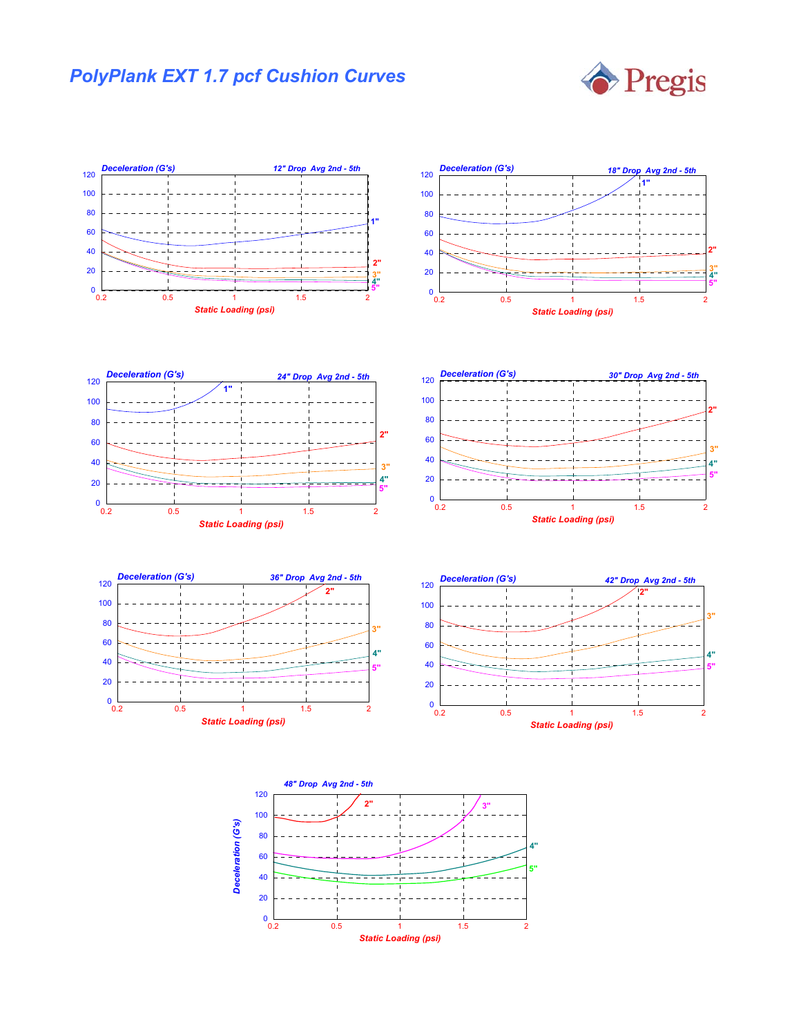# *PolyPlank EXT 1.7 pcf Cushion Curves*



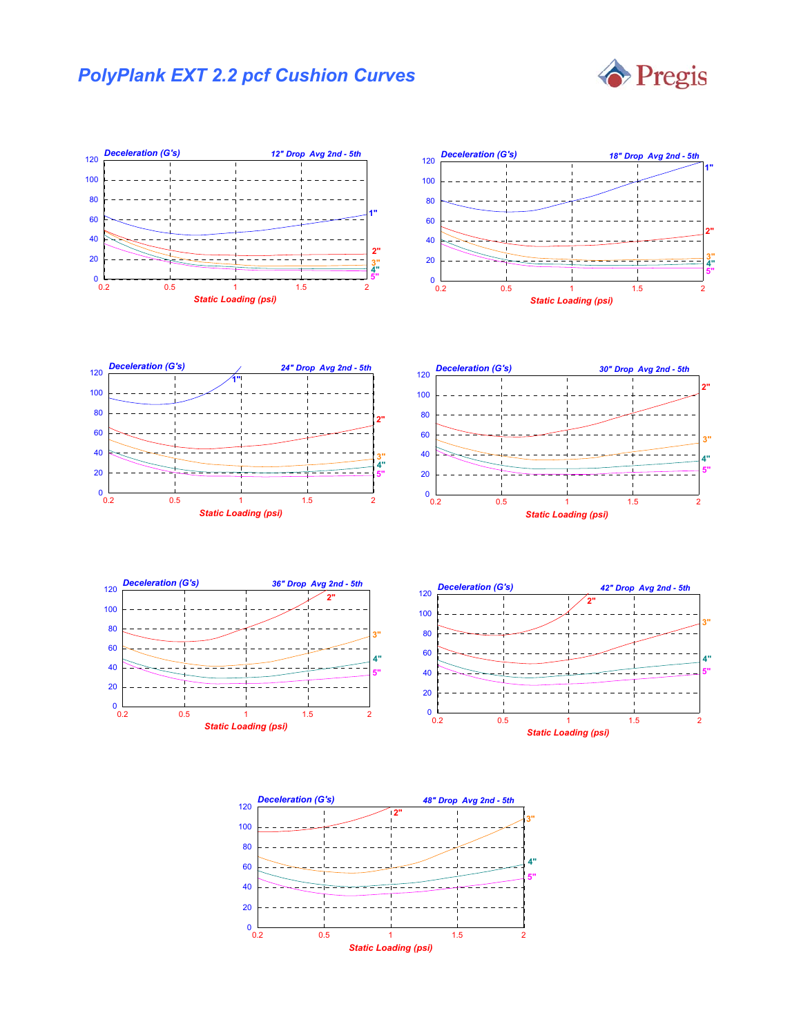# *PolyPlank EXT 2.2 pcf Cushion Curves*





*Static Loading (psi)*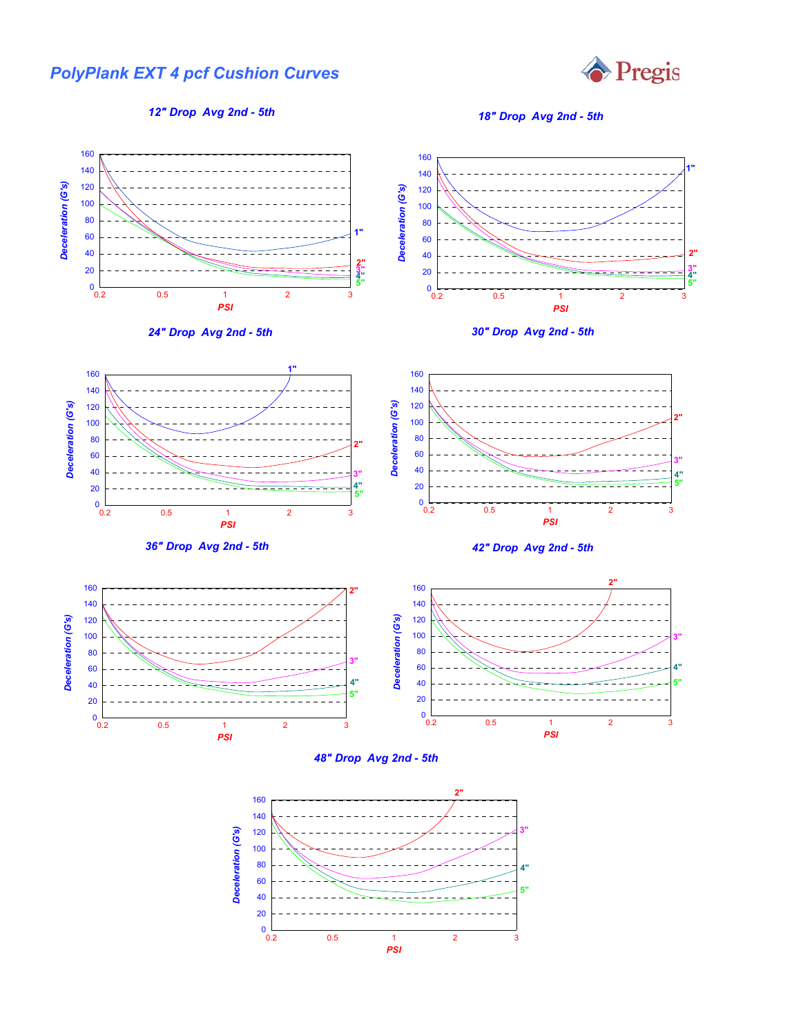#### *PolyPlank EXT 4 pcf Cushion Curves*



#### *12" Drop Avg 2nd - 5th*